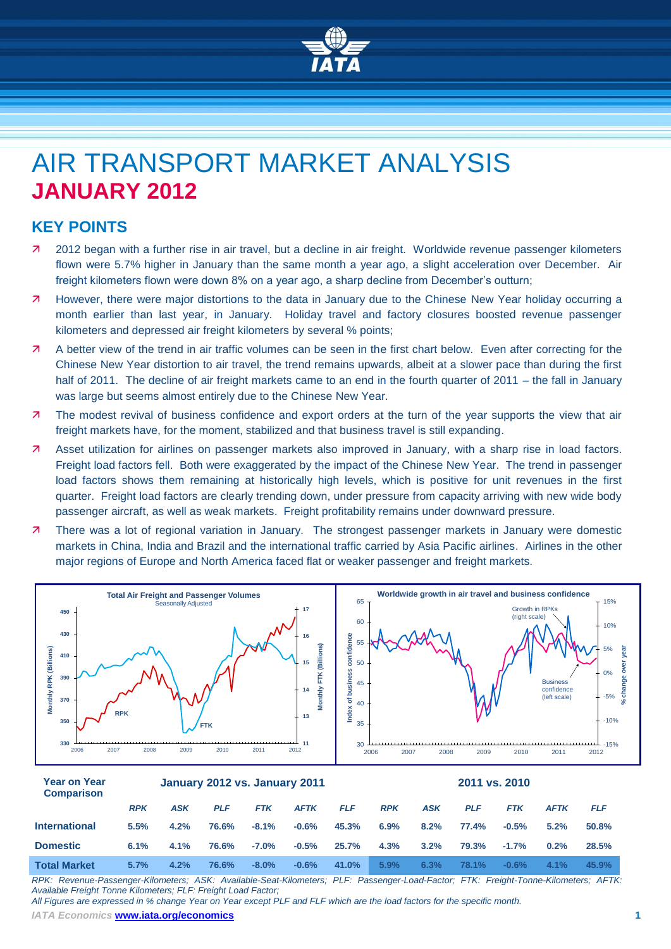

# AIR TRANSPORT MARKET ANALYSIS **JANUARY 2012**

# **KEY POINTS**

- 2012 began with a further rise in air travel, but a decline in air freight. Worldwide revenue passenger kilometers flown were 5.7% higher in January than the same month a year ago, a slight acceleration over December. Air freight kilometers flown were down 8% on a year ago, a sharp decline from December's outturn;
- However, there were major distortions to the data in January due to the Chinese New Year holiday occurring a month earlier than last year, in January. Holiday travel and factory closures boosted revenue passenger kilometers and depressed air freight kilometers by several % points;
- A better view of the trend in air traffic volumes can be seen in the first chart below. Even after correcting for the Chinese New Year distortion to air travel, the trend remains upwards, albeit at a slower pace than during the first half of 2011. The decline of air freight markets came to an end in the fourth quarter of 2011 – the fall in January was large but seems almost entirely due to the Chinese New Year.
- **7** The modest revival of business confidence and export orders at the turn of the year supports the view that air freight markets have, for the moment, stabilized and that business travel is still expanding.
- Asset utilization for airlines on passenger markets also improved in January, with a sharp rise in load factors. Freight load factors fell. Both were exaggerated by the impact of the Chinese New Year. The trend in passenger load factors shows them remaining at historically high levels, which is positive for unit revenues in the first quarter. Freight load factors are clearly trending down, under pressure from capacity arriving with new wide body passenger aircraft, as well as weak markets. Freight profitability remains under downward pressure.
- 7 There was a lot of regional variation in January. The strongest passenger markets in January were domestic markets in China, India and Brazil and the international traffic carried by Asia Pacific airlines. Airlines in the other major regions of Europe and North America faced flat or weaker passenger and freight markets.



| <b>UUIIIDAI ISUII</b> |            |            |            |            |             |            |            |            |            |            |             |            |
|-----------------------|------------|------------|------------|------------|-------------|------------|------------|------------|------------|------------|-------------|------------|
|                       | <b>RPK</b> | <b>ASK</b> | <b>PLF</b> | <b>FTK</b> | <b>AFTK</b> | <b>FLF</b> | <b>RPK</b> | <b>ASK</b> | <b>PLF</b> | <b>FTK</b> | <b>AFTK</b> | <b>FLF</b> |
| <b>International</b>  | 5.5%       | 4.2%       | 76.6%      | $-8.1%$    | $-0.6\%$    | 45.3%      | 6.9%       | 8.2%       | 77.4%      | $-0.5%$    | 5.2%        | 50.8%      |
| <b>Domestic</b>       | 6.1%       | 4.1%       | 76.6%      | $-7.0\%$   | $-0.5\%$    | 25.7%      | 4.3%       | 3.2%       | 79.3%      | $-1.7%$    | 0.2%        | 28.5%      |
| <b>Total Market</b>   | 5.7%       | 4.2%       | 76.6%      | $-8.0\%$   | $-0.6%$     | 41.0%      | 5.9%       | 6.3%       | 78.1%      | $-0.6\%$   | 4.1%        | 45.9%      |

*RPK: Revenue-Passenger-Kilometers; ASK: Available-Seat-Kilometers; PLF: Passenger-Load-Factor; FTK: Freight-Tonne-Kilometers; AFTK: Available Freight Tonne Kilometers; FLF: Freight Load Factor;* 

*All Figures are expressed in % change Year on Year except PLF and FLF which are the load factors for the specific month.*

*IATA Economics* **www.iata.org/economics 1**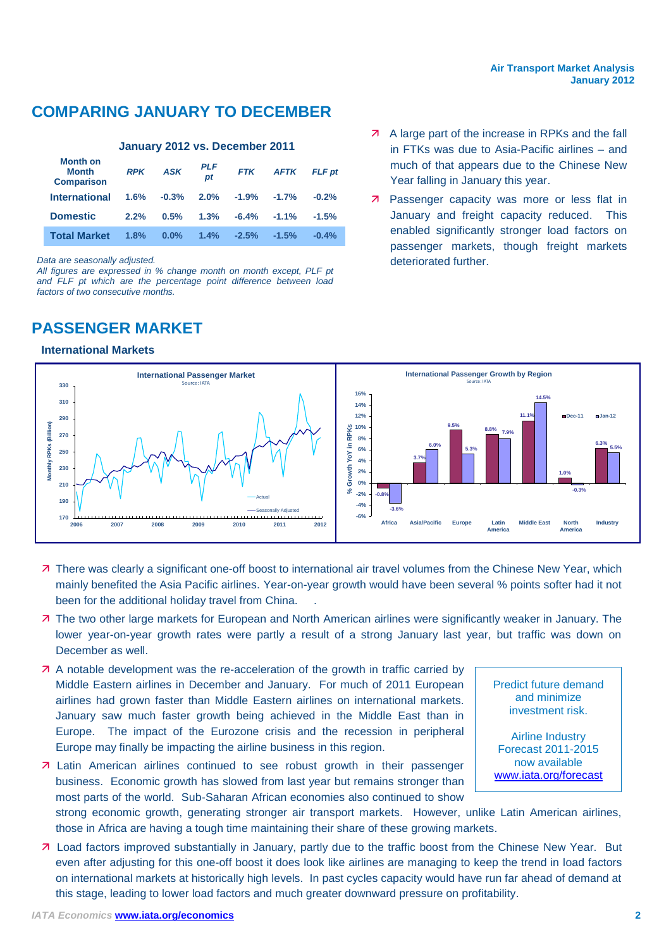# **COMPARING JANUARY TO DECEMBER**

### **January 2012 vs. December 2011**

| <b>Month on</b><br><b>Month</b><br><b>Comparison</b> | <b>RPK</b> | <b>ASK</b> | PLF<br>$p_{t}$ | <b>FTK</b>    | <b>AFTK</b> | <b>FLF</b> pt |
|------------------------------------------------------|------------|------------|----------------|---------------|-------------|---------------|
| <b>International</b>                                 | 1.6%       | $-0.3%$    |                | $2.0\%$ -1.9% | $-1.7\%$    | $-0.2%$       |
| <b>Domestic</b>                                      | 2.2%       | 0.5%       | 1.3%           | $-6.4%$       | $-1.1\%$    | $-1.5%$       |
| <b>Total Market</b>                                  | 1.8%       | $0.0\%$    | $1.4\%$        | $-2.5%$       | $-1.5%$     | $-0.4%$       |

*Data are seasonally adjusted.*

*All figures are expressed in % change month on month except, PLF pt and FLF pt which are the percentage point difference between load factors of two consecutive months.*

# **PASSENGER MARKET**

### **International Markets**

- **A** A large part of the increase in RPKs and the fall in FTKs was due to Asia-Pacific airlines – and much of that appears due to the Chinese New Year falling in January this year.
- **7** Passenger capacity was more or less flat in January and freight capacity reduced. This enabled significantly stronger load factors on passenger markets, though freight markets deteriorated further.



- 7 There was clearly a significant one-off boost to international air travel volumes from the Chinese New Year, which mainly benefited the Asia Pacific airlines. Year-on-year growth would have been several % points softer had it not been for the additional holiday travel from China. .
- The two other large markets for European and North American airlines were significantly weaker in January. The lower year-on-year growth rates were partly a result of a strong January last year, but traffic was down on December as well.
- A notable development was the re-acceleration of the growth in traffic carried by Middle Eastern airlines in December and January. For much of 2011 European airlines had grown faster than Middle Eastern airlines on international markets. January saw much faster growth being achieved in the Middle East than in Europe. The impact of the Eurozone crisis and the recession in peripheral Europe may finally be impacting the airline business in this region.
- Latin American airlines continued to see robust growth in their passenger business. Economic growth has slowed from last year but remains stronger than most parts of the world. Sub-Saharan African economies also continued to show

Predict future demand and minimize investment risk.

Airline Industry Forecast 2011-2015 now available [www.iata.org/forecast](http://www.iata.org/forecast)

strong economic growth, generating stronger air transport markets. However, unlike Latin American airlines, those in Africa are having a tough time maintaining their share of these growing markets.

 Load factors improved substantially in January, partly due to the traffic boost from the Chinese New Year. But even after adjusting for this one-off boost it does look like airlines are managing to keep the trend in load factors on international markets at historically high levels. In past cycles capacity would have run far ahead of demand at this stage, leading to lower load factors and much greater downward pressure on profitability.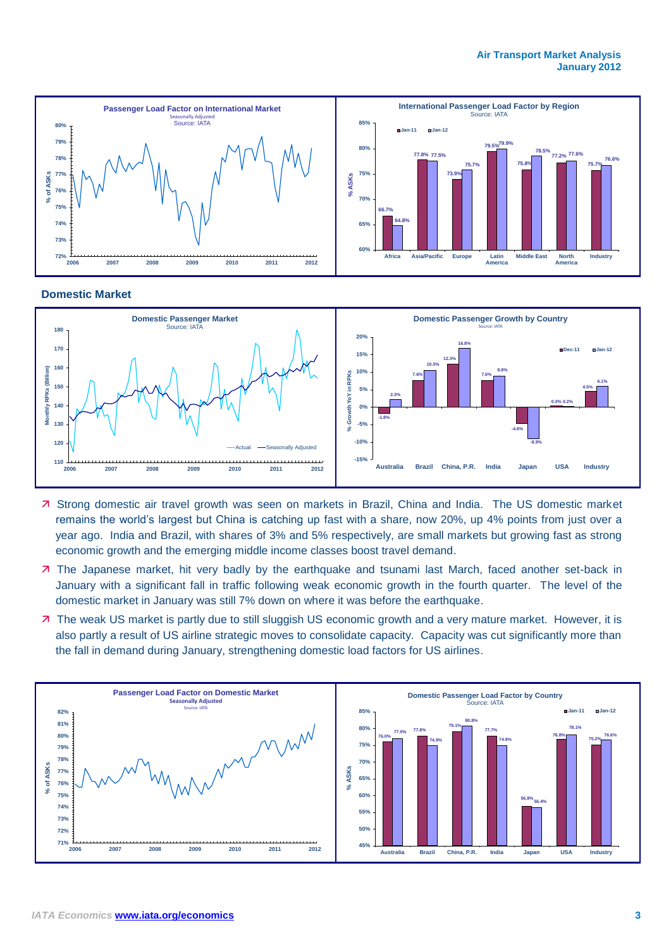#### **Air Transport Market Analysis January 2012**



#### **Domestic Market**



- 7 Strong domestic air travel growth was seen on markets in Brazil, China and India. The US domestic market remains the world's largest but China is catching up fast with a share, now 20%, up 4% points from just over a year ago. India and Brazil, with shares of 3% and 5% respectively, are small markets but growing fast as strong economic growth and the emerging middle income classes boost travel demand.
- The Japanese market, hit very badly by the earthquake and tsunami last March, faced another set-back in January with a significant fall in traffic following weak economic growth in the fourth quarter. The level of the domestic market in January was still 7% down on where it was before the earthquake.
- 7 The weak US market is partly due to still sluggish US economic growth and a very mature market. However, it is also partly a result of US airline strategic moves to consolidate capacity. Capacity was cut significantly more than the fall in demand during January, strengthening domestic load factors for US airlines.

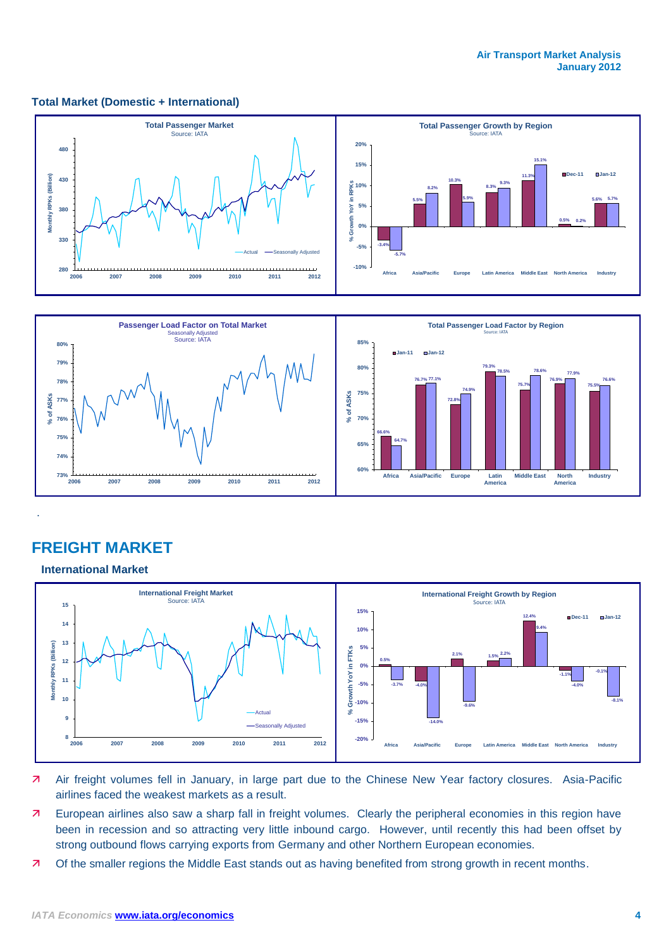#### **Total Market (Domestic + International)**





# **FREIGHT MARKET**

**International Market**

.



- Air freight volumes fell in January, in large part due to the Chinese New Year factory closures. Asia-Pacific airlines faced the weakest markets as a result.
- 7 European airlines also saw a sharp fall in freight volumes. Clearly the peripheral economies in this region have been in recession and so attracting very little inbound cargo. However, until recently this had been offset by strong outbound flows carrying exports from Germany and other Northern European economies.
- 7 Of the smaller regions the Middle East stands out as having benefited from strong growth in recent months.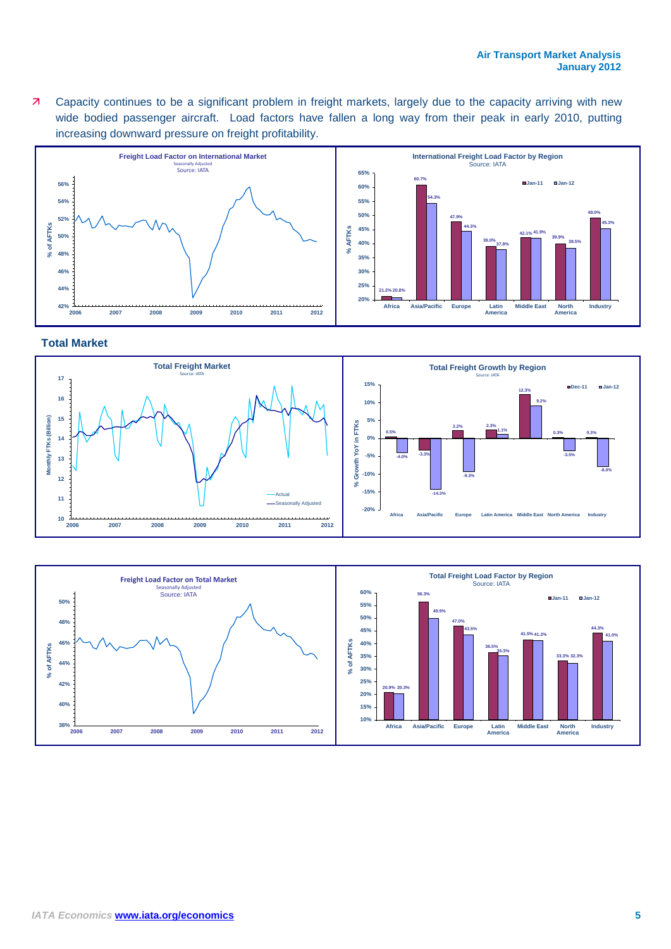Capacity continues to be a significant problem in freight markets, largely due to the capacity arriving with new wide bodied passenger aircraft. Load factors have fallen a long way from their peak in early 2010, putting increasing downward pressure on freight profitability.



#### **Total Market**



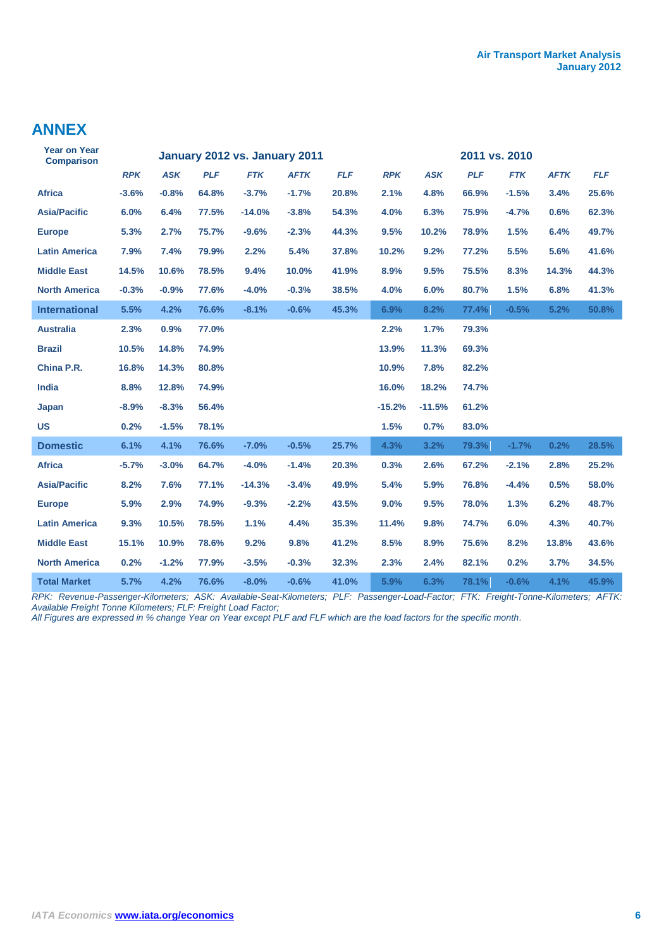# **ANNEX**

| <b>Year on Year</b><br><b>Comparison</b> |            |            |            | January 2012 vs. January 2011 | 2011 vs. 2010 |            |            |            |            |            |             |            |  |
|------------------------------------------|------------|------------|------------|-------------------------------|---------------|------------|------------|------------|------------|------------|-------------|------------|--|
|                                          | <b>RPK</b> | <b>ASK</b> | <b>PLF</b> | <b>FTK</b>                    | <b>AFTK</b>   | <b>FLF</b> | <b>RPK</b> | <b>ASK</b> | <b>PLF</b> | <b>FTK</b> | <b>AFTK</b> | <b>FLF</b> |  |
| <b>Africa</b>                            | $-3.6%$    | $-0.8%$    | 64.8%      | $-3.7%$                       | $-1.7%$       | 20.8%      | 2.1%       | 4.8%       | 66.9%      | $-1.5%$    | 3.4%        | 25.6%      |  |
| <b>Asia/Pacific</b>                      | 6.0%       | 6.4%       | 77.5%      | $-14.0%$                      | $-3.8%$       | 54.3%      | 4.0%       | 6.3%       | 75.9%      | $-4.7%$    | 0.6%        | 62.3%      |  |
| <b>Europe</b>                            | 5.3%       | 2.7%       | 75.7%      | $-9.6%$                       | $-2.3%$       | 44.3%      | 9.5%       | 10.2%      | 78.9%      | 1.5%       | 6.4%        | 49.7%      |  |
| <b>Latin America</b>                     | 7.9%       | 7.4%       | 79.9%      | 2.2%                          | 5.4%          | 37.8%      | 10.2%      | 9.2%       | 77.2%      | 5.5%       | 5.6%        | 41.6%      |  |
| <b>Middle East</b>                       | 14.5%      | 10.6%      | 78.5%      | 9.4%                          | 10.0%         | 41.9%      | 8.9%       | 9.5%       | 75.5%      | 8.3%       | 14.3%       | 44.3%      |  |
| <b>North America</b>                     | $-0.3%$    | $-0.9%$    | 77.6%      | $-4.0%$                       | $-0.3%$       | 38.5%      | 4.0%       | 6.0%       | 80.7%      | 1.5%       | 6.8%        | 41.3%      |  |
| <b>International</b>                     | 5.5%       | 4.2%       | 76.6%      | $-8.1%$                       | $-0.6%$       | 45.3%      | 6.9%       | 8.2%       | 77.4%      | $-0.5%$    | 5.2%        | 50.8%      |  |
| <b>Australia</b>                         | 2.3%       | 0.9%       | 77.0%      |                               |               |            | 2.2%       | 1.7%       | 79.3%      |            |             |            |  |
| <b>Brazil</b>                            | 10.5%      | 14.8%      | 74.9%      |                               |               |            | 13.9%      | 11.3%      | 69.3%      |            |             |            |  |
| China P.R.                               | 16.8%      | 14.3%      | 80.8%      |                               |               |            | 10.9%      | 7.8%       | 82.2%      |            |             |            |  |
| <b>India</b>                             | 8.8%       | 12.8%      | 74.9%      |                               |               |            | 16.0%      | 18.2%      | 74.7%      |            |             |            |  |
| Japan                                    | $-8.9%$    | $-8.3%$    | 56.4%      |                               |               |            | $-15.2%$   | $-11.5%$   | 61.2%      |            |             |            |  |
| <b>US</b>                                | 0.2%       | $-1.5%$    | 78.1%      |                               |               |            | 1.5%       | 0.7%       | 83.0%      |            |             |            |  |
| <b>Domestic</b>                          | 6.1%       | 4.1%       | 76.6%      | $-7.0%$                       | $-0.5%$       | 25.7%      | 4.3%       | 3.2%       | 79.3%      | $-1.7%$    | 0.2%        | 28.5%      |  |
| <b>Africa</b>                            | $-5.7%$    | $-3.0%$    | 64.7%      | $-4.0%$                       | $-1.4%$       | 20.3%      | 0.3%       | 2.6%       | 67.2%      | $-2.1%$    | 2.8%        | 25.2%      |  |
| <b>Asia/Pacific</b>                      | 8.2%       | 7.6%       | 77.1%      | $-14.3%$                      | $-3.4%$       | 49.9%      | 5.4%       | 5.9%       | 76.8%      | $-4.4%$    | 0.5%        | 58.0%      |  |
| <b>Europe</b>                            | 5.9%       | 2.9%       | 74.9%      | $-9.3%$                       | $-2.2%$       | 43.5%      | 9.0%       | 9.5%       | 78.0%      | 1.3%       | 6.2%        | 48.7%      |  |
| <b>Latin America</b>                     | 9.3%       | 10.5%      | 78.5%      | 1.1%                          | 4.4%          | 35.3%      | 11.4%      | 9.8%       | 74.7%      | 6.0%       | 4.3%        | 40.7%      |  |
| <b>Middle East</b>                       | 15.1%      | 10.9%      | 78.6%      | 9.2%                          | 9.8%          | 41.2%      | 8.5%       | 8.9%       | 75.6%      | 8.2%       | 13.8%       | 43.6%      |  |
| <b>North America</b>                     | 0.2%       | $-1.2%$    | 77.9%      | $-3.5%$                       | $-0.3%$       | 32.3%      | 2.3%       | 2.4%       | 82.1%      | 0.2%       | 3.7%        | 34.5%      |  |
| <b>Total Market</b>                      | 5.7%       | 4.2%       | 76.6%      | $-8.0%$                       | $-0.6%$       | 41.0%      | 5.9%       | 6.3%       | 78.1%      | $-0.6%$    | 4.1%        | 45.9%      |  |

*RPK: Revenue-Passenger-Kilometers; ASK: Available-Seat-Kilometers; PLF: Passenger-Load-Factor; FTK: Freight-Tonne-Kilometers; AFTK: Available Freight Tonne Kilometers; FLF: Freight Load Factor;* 

*All Figures are expressed in % change Year on Year except PLF and FLF which are the load factors for the specific month.*